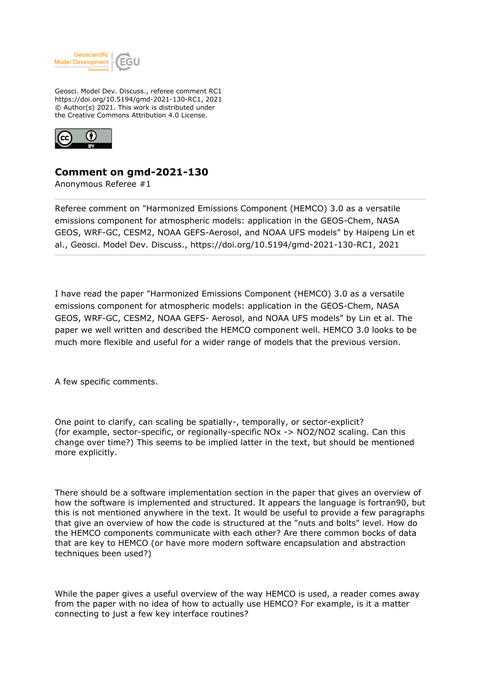

Geosci. Model Dev. Discuss., referee comment RC1 https://doi.org/10.5194/gmd-2021-130-RC1, 2021 © Author(s) 2021. This work is distributed under the Creative Commons Attribution 4.0 License.



## **Comment on gmd-2021-130**

Anonymous Referee #1

Referee comment on "Harmonized Emissions Component (HEMCO) 3.0 as a versatile emissions component for atmospheric models: application in the GEOS-Chem, NASA GEOS, WRF-GC, CESM2, NOAA GEFS-Aerosol, and NOAA UFS models" by Haipeng Lin et al., Geosci. Model Dev. Discuss., https://doi.org/10.5194/gmd-2021-130-RC1, 2021

I have read the paper "Harmonized Emissions Component (HEMCO) 3.0 as a versatile emissions component for atmospheric models: application in the GEOS-Chem, NASA GEOS, WRF-GC, CESM2, NOAA GEFS- Aerosol, and NOAA UFS models" by Lin et al. The paper we well written and described the HEMCO component well. HEMCO 3.0 looks to be much more flexible and useful for a wider range of models that the previous version.

A few specific comments.

One point to clarify, can scaling be spatially-, temporally, or sector-explicit? (for example, sector-specific, or regionally-specific NOx -> NO2/NO2 scaling. Can this change over time?) This seems to be implied latter in the text, but should be mentioned more explicitly.

There should be a software implementation section in the paper that gives an overview of how the software is implemented and structured. It appears the language is fortran90, but this is not mentioned anywhere in the text. It would be useful to provide a few paragraphs that give an overview of how the code is structured at the "nuts and bolts" level. How do the HEMCO components communicate with each other? Are there common bocks of data that are key to HEMCO (or have more modern software encapsulation and abstraction techniques been used?)

While the paper gives a useful overview of the way HEMCO is used, a reader comes away from the paper with no idea of how to actually use HEMCO? For example, is it a matter connecting to just a few key interface routines?